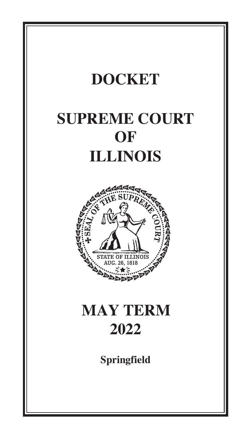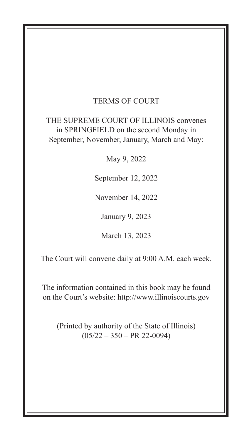### TERMS OF COURT

THE SUPREME COURT OF ILLINOIS convenes in SPRINGFIELD on the second Monday in September, November, January, March and May:

May 9, 2022

September 12, 2022

November 14, 2022

January 9, 2023

March 13, 2023

The Court will convene daily at 9:00 A.M. each week.

The information contained in this book may be found on the Court's website: http://www.illinoiscourts.gov

(Printed by authority of the State of Illinois)  $(05/22 - 350 - PR 22-0094)$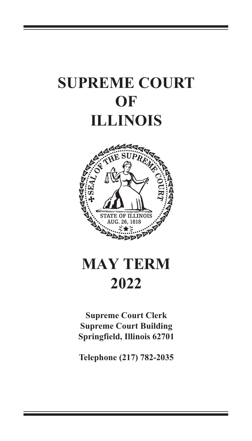# **SUPREME COURT OF ILLINOIS**



# **MAY TERM 2022**

**Supreme Court Clerk Supreme Court Building Springfield, Illinois 62701**

**Telephone (217) 782-2035**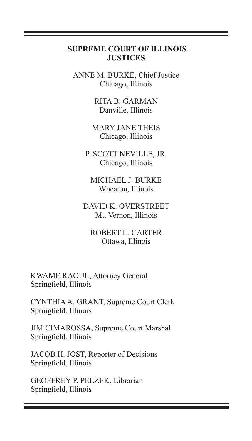#### **SUPREME COURT OF ILLINOIS JUSTICES**

ANNE M. BURKE, Chief Justice Chicago, Illinois

> RITA B. GARMAN Danville, Illinois

MARY JANE THEIS Chicago, Illinois

P. SCOTT NEVILLE, JR. Chicago, Illinois

MICHAEL J. BURKE Wheaton, Illinois

DAVID K. OVERSTREET Mt. Vernon, Illinois

ROBERT L. CARTER Ottawa, Illinois

 KWAME RAOUL, Attorney General Springfield, Illinois

 CYNTHIA A. GRANT, Supreme Court Clerk Springfield, Illinois

 JIM CIMAROSSA, Supreme Court Marshal Springfield, Illinois

 JACOB H. JOST, Reporter of Decisions Springfield, Illinois

 GEOFFREY P. PELZEK, Librarian Springfield, Illinoi**s**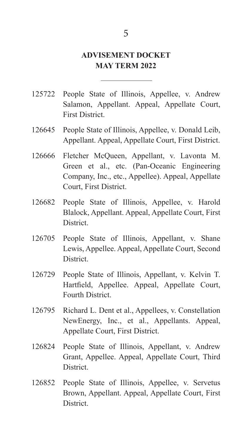# **ADVISEMENT DOCKET MAY TERM 2022**

- 125722 People State of Illinois, Appellee, v. Andrew Salamon, Appellant. Appeal, Appellate Court, First District.
- 126645 People State of Illinois, Appellee, v. Donald Leib, Appellant. Appeal, Appellate Court, First District.
- 126666 Fletcher McQueen, Appellant, v. Lavonta M. Green et al., etc. (Pan-Oceanic Engineering Company, Inc., etc., Appellee). Appeal, Appellate Court, First District.
- 126682 People State of Illinois, Appellee, v. Harold Blalock, Appellant. Appeal, Appellate Court, First **District**
- 126705 People State of Illinois, Appellant, v. Shane Lewis, Appellee. Appeal, Appellate Court, Second **District**
- 126729 People State of Illinois, Appellant, v. Kelvin T. Hartfield, Appellee. Appeal, Appellate Court, Fourth District.
- 126795 Richard L. Dent et al., Appellees, v. Constellation NewEnergy, Inc., et al., Appellants. Appeal, Appellate Court, First District.
- 126824 People State of Illinois, Appellant, v. Andrew Grant, Appellee. Appeal, Appellate Court, Third **District.**
- 126852 People State of Illinois, Appellee, v. Servetus Brown, Appellant. Appeal, Appellate Court, First **District.**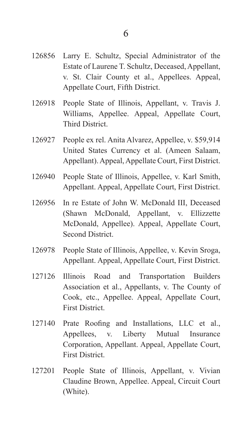- 126856 Larry E. Schultz, Special Administrator of the Estate of Laurene T. Schultz, Deceased, Appellant, v. St. Clair County et al., Appellees. Appeal, Appellate Court, Fifth District.
- 126918 People State of Illinois, Appellant, v. Travis J. Williams, Appellee. Appeal, Appellate Court, Third District.
- 126927 People ex rel. Anita Alvarez, Appellee, v. \$59,914 United States Currency et al. (Ameen Salaam, Appellant). Appeal, Appellate Court, First District.
- 126940 People State of Illinois, Appellee, v. Karl Smith, Appellant. Appeal, Appellate Court, First District.
- 126956 In re Estate of John W. McDonald III, Deceased (Shawn McDonald, Appellant, v. Ellizzette McDonald, Appellee). Appeal, Appellate Court, Second District.
- 126978 People State of Illinois, Appellee, v. Kevin Sroga, Appellant. Appeal, Appellate Court, First District.
- 127126 Illinois Road and Transportation Builders Association et al., Appellants, v. The County of Cook, etc., Appellee. Appeal, Appellate Court, First District.
- 127140 Prate Roofing and Installations, LLC et al., Appellees, v. Liberty Mutual Insurance Corporation, Appellant. Appeal, Appellate Court, First District.
- 127201 People State of Illinois, Appellant, v. Vivian Claudine Brown, Appellee. Appeal, Circuit Court (White).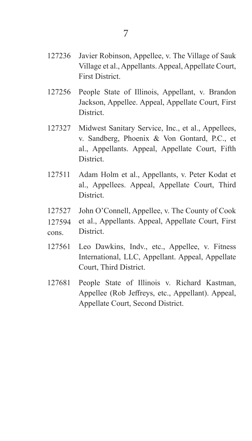- 127236 Javier Robinson, Appellee, v. The Village of Sauk Village et al., Appellants. Appeal, Appellate Court, First District.
- 127256 People State of Illinois, Appellant, v. Brandon Jackson, Appellee. Appeal, Appellate Court, First **District.**
- 127327 Midwest Sanitary Service, Inc., et al., Appellees, v. Sandberg, Phoenix & Von Gontard, P.C., et al., Appellants. Appeal, Appellate Court, Fifth District.
- 127511 Adam Holm et al., Appellants, v. Peter Kodat et al., Appellees. Appeal, Appellate Court, Third District.
- 127527 John O'Connell, Appellee, v. The County of Cook
- et al., Appellants. Appeal, Appellate Court, First District. 127594
- cons.
- 127561 Leo Dawkins, Indv., etc., Appellee, v. Fitness International, LLC, Appellant. Appeal, Appellate Court, Third District.
- 127681 People State of Illinois v. Richard Kastman, Appellee (Rob Jeffreys, etc., Appellant). Appeal, Appellate Court, Second District.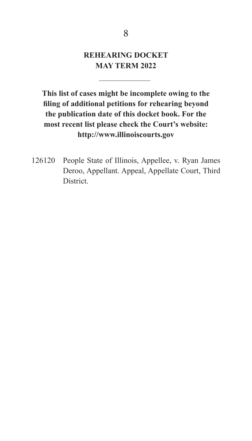# **REHEARING DOCKET 9:00 A.M. MAY TERM 2022**

1264 People State of Illinois, Appellee, V. Robert of Illinois, Appellee, V. Robert of Illinois, Appellee, V.

This list of cases might be incomplete owing to the filing of additional petitions for rehearing beyond the publication date of this docket book. For the most recent list please check the Court's website: http://www.illinoiscourts.gov

126120 People State of Illinois, Appellee, v. Ryan James Deroo, Appellant. Appeal, Appellate Court, Third District.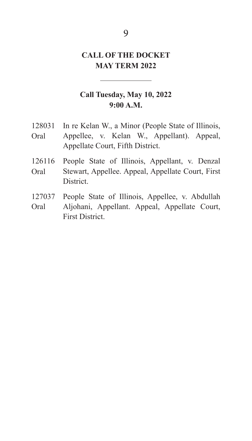# **CALL OF THE DOCKET 9:00 A.M. MAY TERM 2022**

### **Call Tuesday, May 10, 2022 9:00 A.M.**

- 128031 In re Kelan W., a Minor (People State of Illinois, Appellee, v. Kelan W., Appellant). Appeal, Sr., Appellee). Appeal, Appellate Court, Third Appellate Court, Fifth District.  $\overline{a}$ Oral
- 126577 Jane Doe, Appellant, v. Beau Parrillo, Appellee. Stewart, Appellee. Appeal, Appellate Court, First<br>District 126116 People State of Illinois, Appellant, v. Denzal District. Oral
- 127037 People State of Illinois, Appellee, v. Abdullah Aljohani, Appellant. Appeal, Appellate Court, Appellant). Appeal, Appellate Court, First District. First District. Oral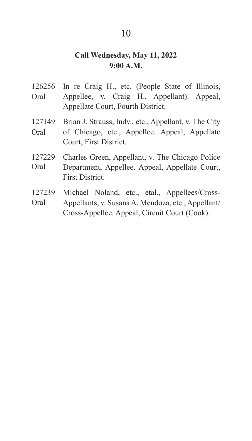## **Call Wednesday, May 11, 2022 9:00 A.M.**

- Oral 126256 In re Craig H., etc. (People State of Illinois, Appellee, v. Craig H., Appellant). Appeal, Appellate Court, Fourth District.
- Oral 127149 Brian J. Strauss, Indv., etc., Appellant, v. The City of Chicago, etc., Appellee. Appeal, Appellate Court, First District.
- Oral 127229 Charles Green, Appellant, v. The Chicago Police Department, Appellee. Appeal, Appellate Court, First District.
- Oral 127239 Michael Noland, etc., etal., Appellees/Cross-Appellants, v. Susana A. Mendoza, etc., Appellant/ Cross-Appellee. Appeal, Circuit Court (Cook).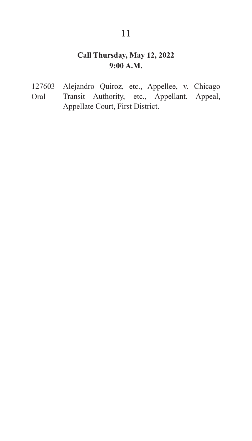#### **Call Thursday, May 12, 2022 9:00 A.M.**

Oral 127603 Alejandro Quiroz, etc., Appellee, v. Chicago Transit Authority, etc., Appellant. Appeal, Appellate Court, First District. 127603Alejandro Quiroz, etc., Appellee, v. Chicago Transit Authority, etc., Appellant. Appeal, Appellate Court, First District.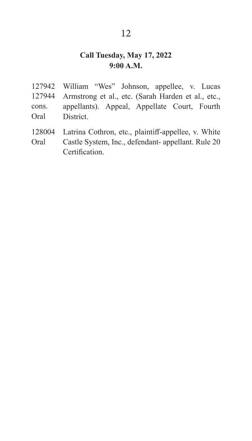# **Call Tuesday, May 17, 2022 9:00 A.M.**

- 127944 cons. Oral 127942 William "Wes" Johnson, appellee, v. Lucas Armstrong et al., etc. (Sarah Harden et al., etc., appellants). Appeal, Appellate Court, Fourth **District.**
- Oral 128004 Latrina Cothron, etc., plaintiff-appellee, v. White Castle System, Inc., defendant- appellant. Rule 20 **Certification**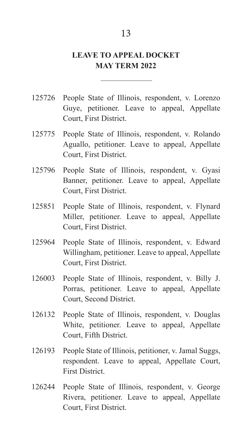## **LEAVE TO APPEAL DOCKET MAY TERM 2022**

- 125726 People State of Illinois, respondent, v. Lorenzo Guye, petitioner. Leave to appeal, Appellate Court, First District.
- 125775 People State of Illinois, respondent, v. Rolando Aguallo, petitioner. Leave to appeal, Appellate Court, First District.
- 125796 People State of Illinois, respondent, v. Gyasi Banner, petitioner. Leave to appeal, Appellate Court, First District.
- 125851 People State of Illinois, respondent, v. Flynard Miller, petitioner. Leave to appeal, Appellate Court, First District.
- 125964 People State of Illinois, respondent, v. Edward Willingham, petitioner. Leave to appeal, Appellate Court, First District.
- 126003 People State of Illinois, respondent, v. Billy J. Porras, petitioner. Leave to appeal, Appellate Court, Second District.
- 126132 People State of Illinois, respondent, v. Douglas White, petitioner. Leave to appeal, Appellate Court, Fifth District.
- 126193 People State of Illinois, petitioner, v. Jamal Suggs, respondent. Leave to appeal, Appellate Court, First District.
- 126244 People State of Illinois, respondent, v. George Rivera, petitioner. Leave to appeal, Appellate Court, First District.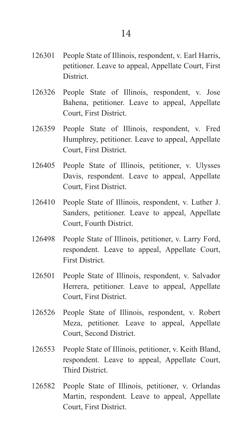- 126301 People State of Illinois, respondent, v. Earl Harris, petitioner. Leave to appeal, Appellate Court, First **District.**
- 126326 People State of Illinois, respondent, v. Jose Bahena, petitioner. Leave to appeal, Appellate Court, First District.
- 126359 People State of Illinois, respondent, v. Fred Humphrey, petitioner. Leave to appeal, Appellate Court, First District.
- 126405 People State of Illinois, petitioner, v. Ulysses Davis, respondent. Leave to appeal, Appellate Court, First District.
- 126410 People State of Illinois, respondent, v. Luther J. Sanders, petitioner. Leave to appeal, Appellate Court, Fourth District.
- 126498 People State of Illinois, petitioner, v. Larry Ford, respondent. Leave to appeal, Appellate Court, First District.
- 126501 People State of Illinois, respondent, v. Salvador Herrera, petitioner. Leave to appeal, Appellate Court, First District.
- 126526 People State of Illinois, respondent, v. Robert Meza, petitioner. Leave to appeal, Appellate Court, Second District.
- 126553 People State of Illinois, petitioner, v. Keith Bland, respondent. Leave to appeal, Appellate Court, Third District.
- 126582 People State of Illinois, petitioner, v. Orlandas Martin, respondent. Leave to appeal, Appellate Court, First District.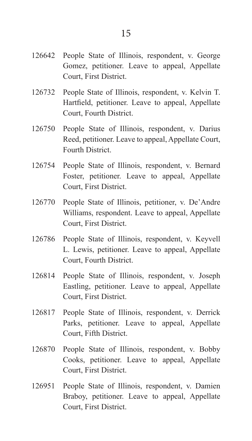- 126642 People State of Illinois, respondent, v. George Gomez, petitioner. Leave to appeal, Appellate Court, First District.
- 126732 People State of Illinois, respondent, v. Kelvin T. Hartfield, petitioner. Leave to appeal, Appellate Court, Fourth District.
- 126750 People State of Illinois, respondent, v. Darius Reed, petitioner. Leave to appeal, Appellate Court, Fourth District.
- 126754 People State of Illinois, respondent, v. Bernard Foster, petitioner. Leave to appeal, Appellate Court, First District.
- 126770 People State of Illinois, petitioner, v. De'Andre Williams, respondent. Leave to appeal, Appellate Court, First District.
- 126786 People State of Illinois, respondent, v. Keyvell L. Lewis, petitioner. Leave to appeal, Appellate Court, Fourth District.
- 126814 People State of Illinois, respondent, v. Joseph Eastling, petitioner. Leave to appeal, Appellate Court, First District.
- 126817 People State of Illinois, respondent, v. Derrick Parks, petitioner. Leave to appeal, Appellate Court, Fifth District.
- 126870 People State of Illinois, respondent, v. Bobby Cooks, petitioner. Leave to appeal, Appellate Court, First District.
- 126951 People State of Illinois, respondent, v. Damien Braboy, petitioner. Leave to appeal, Appellate Court, First District.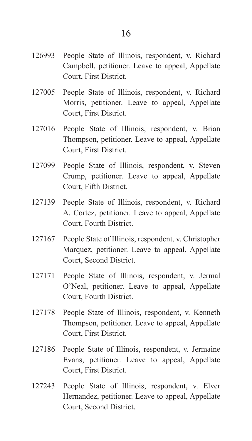- 127005 People State of Illinois, respondent, v. Richard Morris, petitioner. Leave to appeal, Appellate Court, First District.
- 127016 People State of Illinois, respondent, v. Brian Thompson, petitioner. Leave to appeal, Appellate Court, First District.
- 127099 People State of Illinois, respondent, v. Steven Crump, petitioner. Leave to appeal, Appellate Court, Fifth District.
- 127139 People State of Illinois, respondent, v. Richard A. Cortez, petitioner. Leave to appeal, Appellate Court, Fourth District.
- 127167 People State of Illinois, respondent, v. Christopher Marquez, petitioner. Leave to appeal, Appellate Court, Second District.
- 127171 People State of Illinois, respondent, v. Jermal O'Neal, petitioner. Leave to appeal, Appellate Court, Fourth District.
- 127178 People State of Illinois, respondent, v. Kenneth Thompson, petitioner. Leave to appeal, Appellate Court, First District.
- 127186 People State of Illinois, respondent, v. Jermaine Evans, petitioner. Leave to appeal, Appellate Court, First District.
- 127243 People State of Illinois, respondent, v. Elver Hernandez, petitioner. Leave to appeal, Appellate Court, Second District.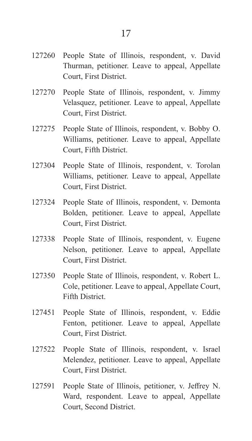- 127270 People State of Illinois, respondent, v. Jimmy Velasquez, petitioner. Leave to appeal, Appellate Court, First District.
- 127275 People State of Illinois, respondent, v. Bobby O. Williams, petitioner. Leave to appeal, Appellate Court, Fifth District.
- 127304 People State of Illinois, respondent, v. Torolan Williams, petitioner. Leave to appeal, Appellate Court, First District.
- 127324 People State of Illinois, respondent, v. Demonta Bolden, petitioner. Leave to appeal, Appellate Court, First District.
- 127338 People State of Illinois, respondent, v. Eugene Nelson, petitioner. Leave to appeal, Appellate Court, First District.
- 127350 People State of Illinois, respondent, v. Robert L. Cole, petitioner. Leave to appeal, Appellate Court, Fifth District.
- 127451 People State of Illinois, respondent, v. Eddie Fenton, petitioner. Leave to appeal, Appellate Court, First District.
- 127522 People State of Illinois, respondent, v. Israel Melendez, petitioner. Leave to appeal, Appellate Court, First District.
- 127591 People State of Illinois, petitioner, v. Jeffrey N. Ward, respondent. Leave to appeal, Appellate Court, Second District.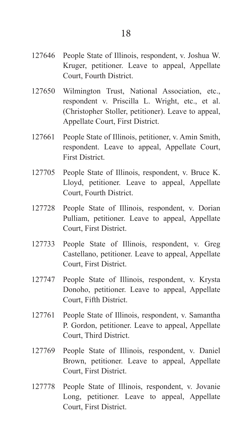- 127646 People State of Illinois, respondent, v. Joshua W. Kruger, petitioner. Leave to appeal, Appellate Court, Fourth District.
- 127650 Wilmington Trust, National Association, etc., respondent v. Priscilla L. Wright, etc., et al. (Christopher Stoller, petitioner). Leave to appeal, Appellate Court, First District.
- 127661 People State of Illinois, petitioner, v. Amin Smith, respondent. Leave to appeal, Appellate Court, First District.
- 127705 People State of Illinois, respondent, v. Bruce K. Lloyd, petitioner. Leave to appeal, Appellate Court, Fourth District.
- 127728 People State of Illinois, respondent, v. Dorian Pulliam, petitioner. Leave to appeal, Appellate Court, First District.
- 127733 People State of Illinois, respondent, v. Greg Castellano, petitioner. Leave to appeal, Appellate Court, First District.
- 127747 People State of Illinois, respondent, v. Krysta Donoho, petitioner. Leave to appeal, Appellate Court, Fifth District.
- 127761 People State of Illinois, respondent, v. Samantha P. Gordon, petitioner. Leave to appeal, Appellate Court, Third District.
- 127769 People State of Illinois, respondent, v. Daniel Brown, petitioner. Leave to appeal, Appellate Court, First District.
- 127778 People State of Illinois, respondent, v. Jovanie Long, petitioner. Leave to appeal, Appellate Court, First District.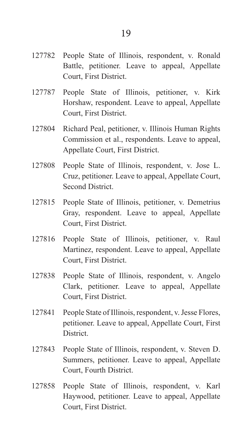- 127782 People State of Illinois, respondent, v. Ronald Battle, petitioner. Leave to appeal, Appellate Court, First District.
- 127787 People State of Illinois, petitioner, v. Kirk Horshaw, respondent. Leave to appeal, Appellate Court, First District.
- 127804 Richard Peal, petitioner, v. Illinois Human Rights Commission et al., respondents. Leave to appeal, Appellate Court, First District.
- 127808 People State of Illinois, respondent, v. Jose L. Cruz, petitioner. Leave to appeal, Appellate Court, Second District.
- 127815 People State of Illinois, petitioner, v. Demetrius Gray, respondent. Leave to appeal, Appellate Court, First District.
- 127816 People State of Illinois, petitioner, v. Raul Martinez, respondent. Leave to appeal, Appellate Court, First District.
- 127838 People State of Illinois, respondent, v. Angelo Clark, petitioner. Leave to appeal, Appellate Court, First District.
- 127841 People State of Illinois, respondent, v. Jesse Flores, petitioner. Leave to appeal, Appellate Court, First District.
- 127843 People State of Illinois, respondent, v. Steven D. Summers, petitioner. Leave to appeal, Appellate Court, Fourth District.
- 127858 People State of Illinois, respondent, v. Karl Haywood, petitioner. Leave to appeal, Appellate Court, First District.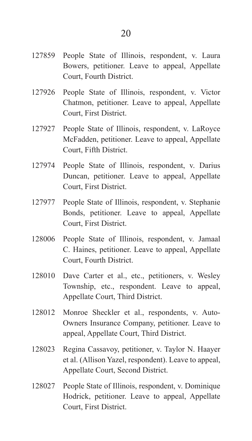- 127859 People State of Illinois, respondent, v. Laura Bowers, petitioner. Leave to appeal, Appellate Court, Fourth District.
- 127926 People State of Illinois, respondent, v. Victor Chatmon, petitioner. Leave to appeal, Appellate Court, First District.
- 127927 People State of Illinois, respondent, v. LaRoyce McFadden, petitioner. Leave to appeal, Appellate Court, Fifth District.
- 127974 People State of Illinois, respondent, v. Darius Duncan, petitioner. Leave to appeal, Appellate Court, First District.
- 127977 People State of Illinois, respondent, v. Stephanie Bonds, petitioner. Leave to appeal, Appellate Court, First District.
- 128006 People State of Illinois, respondent, v. Jamaal C. Haines, petitioner. Leave to appeal, Appellate Court, Fourth District.
- 128010 Dave Carter et al., etc., petitioners, v. Wesley Township, etc., respondent. Leave to appeal, Appellate Court, Third District.
- 128012 Monroe Sheckler et al., respondents, v. Auto-Owners Insurance Company, petitioner. Leave to appeal, Appellate Court, Third District.
- 128023 Regina Cassavoy, petitioner, v. Taylor N. Haayer et al. (Allison Yazel, respondent). Leave to appeal, Appellate Court, Second District.
- 128027 People State of Illinois, respondent, v. Dominique Hodrick, petitioner. Leave to appeal, Appellate Court, First District.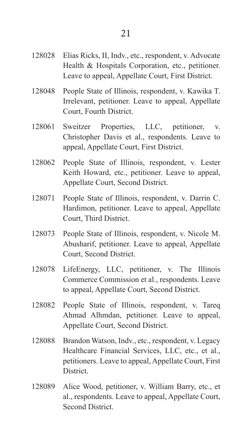- 128028 Elias Ricks, II, Indv., etc., respondent, v. Advocate Health & Hospitals Corporation, etc., petitioner. Leave to appeal, Appellate Court, First District.
- 128048 People State of Illinois, respondent, v. Kawika T. Irrelevant, petitioner. Leave to appeal, Appellate Court, Fourth District.
- 128061 Sweitzer Properties, LLC, petitioner, v. Christopher Davis et al., respondents. Leave to appeal, Appellate Court, First District.
- 128062 People State of Illinois, respondent, v. Lester Keith Howard, etc., petitioner. Leave to appeal, Appellate Court, Second District.
- 128071 People State of Illinois, respondent, v. Darrin C. Hardimon, petitioner. Leave to appeal, Appellate Court, Third District.
- 128073 People State of Illinois, respondent, v. Nicole M. Abusharif, petitioner. Leave to appeal, Appellate Court, Second District.
- 128078 LifeEnergy, LLC, petitioner, v. The Illinois Commerce Commission et al., respondents. Leave to appeal, Appellate Court, Second District.
- 128082 People State of Illinois, respondent, v. Tareq Ahmad Alhmdan, petitioner. Leave to appeal, Appellate Court, Second District.
- 128088 Brandon Watson, Indv., etc., respondent, v. Legacy Healthcare Financial Services, LLC, etc., et al., petitioners. Leave to appeal, Appellate Court, First **District**
- 128089 Alice Wood, petitioner, v. William Barry, etc., et al., respondents. Leave to appeal, Appellate Court, Second District.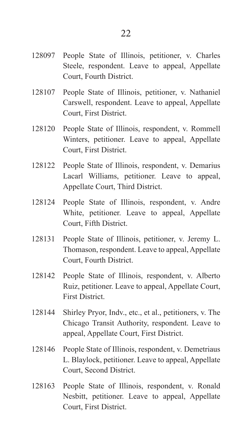- 128107 People State of Illinois, petitioner, v. Nathaniel Carswell, respondent. Leave to appeal, Appellate Court, First District.
- 128120 People State of Illinois, respondent, v. Rommell Winters, petitioner. Leave to appeal, Appellate Court, First District.
- 128122 People State of Illinois, respondent, v. Demarius Lacarl Williams, petitioner. Leave to appeal, Appellate Court, Third District.
- 128124 People State of Illinois, respondent, v. Andre White, petitioner. Leave to appeal, Appellate Court, Fifth District.
- 128131 People State of Illinois, petitioner, v. Jeremy L. Thomason, respondent. Leave to appeal, Appellate Court, Fourth District.
- 128142 People State of Illinois, respondent, v. Alberto Ruiz, petitioner. Leave to appeal, Appellate Court, First District.
- 128144 Shirley Pryor, Indv., etc., et al., petitioners, v. The Chicago Transit Authority, respondent. Leave to appeal, Appellate Court, First District.
- 128146 People State of Illinois, respondent, v. Demetriaus L. Blaylock, petitioner. Leave to appeal, Appellate Court, Second District.
- 128163 People State of Illinois, respondent, v. Ronald Nesbitt, petitioner. Leave to appeal, Appellate Court, First District.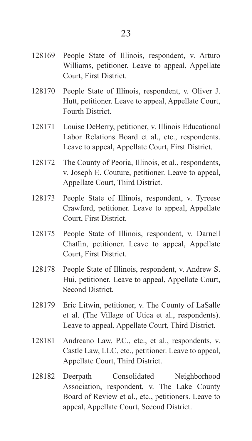- 128170 People State of Illinois, respondent, v. Oliver J. Hutt, petitioner. Leave to appeal, Appellate Court, Fourth District.
- 128171 Louise DeBerry, petitioner, v. Illinois Educational Labor Relations Board et al., etc., respondents. Leave to appeal, Appellate Court, First District.
- 128172 The County of Peoria, Illinois, et al., respondents, v. Joseph E. Couture, petitioner. Leave to appeal, Appellate Court, Third District.
- 128173 People State of Illinois, respondent, v. Tyreese Crawford, petitioner. Leave to appeal, Appellate Court, First District.
- 128175 People State of Illinois, respondent, v. Darnell Chaffin, petitioner. Leave to appeal, Appellate Court, First District.
- 128178 People State of Illinois, respondent, v. Andrew S. Hui, petitioner. Leave to appeal, Appellate Court, Second District.
- 128179 Eric Litwin, petitioner, v. The County of LaSalle et al. (The Village of Utica et al., respondents). Leave to appeal, Appellate Court, Third District.
- 128181 Andreano Law, P.C., etc., et al., respondents, v. Castle Law, LLC, etc., petitioner. Leave to appeal, Appellate Court, Third District.
- 128182 Deerpath Consolidated Neighborhood Association, respondent, v. The Lake County Board of Review et al., etc., petitioners. Leave to appeal, Appellate Court, Second District.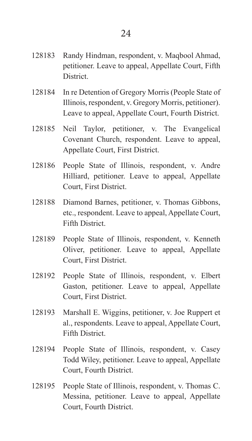- 128183 Randy Hindman, respondent, v. Maqbool Ahmad, petitioner. Leave to appeal, Appellate Court, Fifth **District.**
- 128184 In re Detention of Gregory Morris (People State of Illinois, respondent, v. Gregory Morris, petitioner). Leave to appeal, Appellate Court, Fourth District.
- 128185 Neil Taylor, petitioner, v. The Evangelical Covenant Church, respondent. Leave to appeal, Appellate Court, First District.
- 128186 People State of Illinois, respondent, v. Andre Hilliard, petitioner. Leave to appeal, Appellate Court, First District.
- 128188 Diamond Barnes, petitioner, v. Thomas Gibbons, etc., respondent. Leave to appeal, Appellate Court, Fifth District.
- 128189 People State of Illinois, respondent, v. Kenneth Oliver, petitioner. Leave to appeal, Appellate Court, First District.
- 128192 People State of Illinois, respondent, v. Elbert Gaston, petitioner. Leave to appeal, Appellate Court, First District.
- 128193 Marshall E. Wiggins, petitioner, v. Joe Ruppert et al., respondents. Leave to appeal, Appellate Court, Fifth District.
- 128194 People State of Illinois, respondent, v. Casey Todd Wiley, petitioner. Leave to appeal, Appellate Court, Fourth District.
- 128195 People State of Illinois, respondent, v. Thomas C. Messina, petitioner. Leave to appeal, Appellate Court, Fourth District.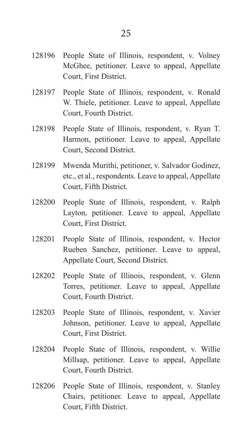- 128196 People State of Illinois, respondent, v. Volney McGhee, petitioner. Leave to appeal, Appellate Court, First District.
- 128197 People State of Illinois, respondent, v. Ronald W. Thiele, petitioner. Leave to appeal, Appellate Court, Fourth District.
- 128198 People State of Illinois, respondent, v. Ryan T. Harmon, petitioner. Leave to appeal, Appellate Court, Second District.
- 128199 Mwenda Murithi, petitioner, v. Salvador Godinez, etc., et al., respondents. Leave to appeal, Appellate Court, Fifth District.
- 128200 People State of Illinois, respondent, v. Ralph Layton, petitioner. Leave to appeal, Appellate Court, First District.
- 128201 People State of Illinois, respondent, v. Hector Rueben Sanchez, petitioner. Leave to appeal, Appellate Court, Second District.
- 128202 People State of Illinois, respondent, v. Glenn Torres, petitioner. Leave to appeal, Appellate Court, Fourth District.
- 128203 People State of Illinois, respondent, v. Xavier Johnson, petitioner. Leave to appeal, Appellate Court, First District.
- 128204 People State of Illinois, respondent, v. Willie Millsap, petitioner. Leave to appeal, Appellate Court, Fourth District.
- 128206 People State of Illinois, respondent, v. Stanley Chairs, petitioner. Leave to appeal, Appellate Court, Fifth District.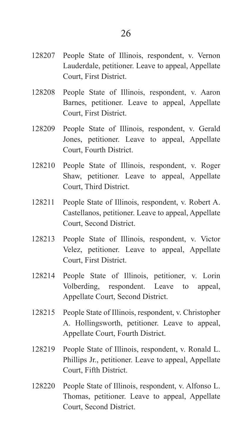- 128207 People State of Illinois, respondent, v. Vernon Lauderdale, petitioner. Leave to appeal, Appellate Court, First District.
- 128208 People State of Illinois, respondent, v. Aaron Barnes, petitioner. Leave to appeal, Appellate Court, First District.
- 128209 People State of Illinois, respondent, v. Gerald Jones, petitioner. Leave to appeal, Appellate Court, Fourth District.
- 128210 People State of Illinois, respondent, v. Roger Shaw, petitioner. Leave to appeal, Appellate Court, Third District.
- 128211 People State of Illinois, respondent, v. Robert A. Castellanos, petitioner. Leave to appeal, Appellate Court, Second District.
- 128213 People State of Illinois, respondent, v. Victor Velez, petitioner. Leave to appeal, Appellate Court, First District.
- 128214 People State of Illinois, petitioner, v. Lorin Volberding, respondent. Leave to appeal, Appellate Court, Second District.
- 128215 People State of Illinois, respondent, v. Christopher A. Hollingsworth, petitioner. Leave to appeal, Appellate Court, Fourth District.
- 128219 People State of Illinois, respondent, v. Ronald L. Phillips Jr., petitioner. Leave to appeal, Appellate Court, Fifth District.
- 128220 People State of Illinois, respondent, v. Alfonso L. Thomas, petitioner. Leave to appeal, Appellate Court, Second District.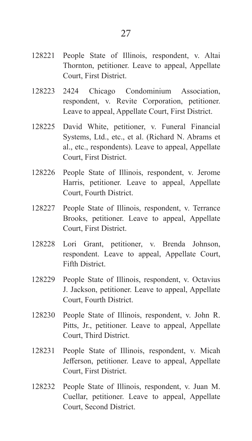- 128221 People State of Illinois, respondent, v. Altai Thornton, petitioner. Leave to appeal, Appellate Court, First District.
- 128223 2424 Chicago Condominium Association, respondent, v. Revite Corporation, petitioner. Leave to appeal, Appellate Court, First District.
- 128225 David White, petitioner, v. Funeral Financial Systems, Ltd., etc., et al. (Richard N. Abrams et al., etc., respondents). Leave to appeal, Appellate Court, First District.
- 128226 People State of Illinois, respondent, v. Jerome Harris, petitioner. Leave to appeal, Appellate Court, Fourth District.
- 128227 People State of Illinois, respondent, v. Terrance Brooks, petitioner. Leave to appeal, Appellate Court, First District.
- 128228 Lori Grant, petitioner, v. Brenda Johnson, respondent. Leave to appeal, Appellate Court, Fifth District.
- 128229 People State of Illinois, respondent, v. Octavius J. Jackson, petitioner. Leave to appeal, Appellate Court, Fourth District.
- 128230 People State of Illinois, respondent, v. John R. Pitts, Jr., petitioner. Leave to appeal, Appellate Court, Third District.
- 128231 People State of Illinois, respondent, v. Micah Jefferson, petitioner. Leave to appeal, Appellate Court, First District.
- 128232 People State of Illinois, respondent, v. Juan M. Cuellar, petitioner. Leave to appeal, Appellate Court, Second District.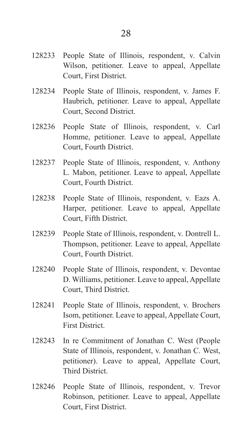- 128233 People State of Illinois, respondent, v. Calvin Wilson, petitioner. Leave to appeal, Appellate Court, First District.
- 128234 People State of Illinois, respondent, v. James F. Haubrich, petitioner. Leave to appeal, Appellate Court, Second District.
- 128236 People State of Illinois, respondent, v. Carl Homme, petitioner. Leave to appeal, Appellate Court, Fourth District.
- 128237 People State of Illinois, respondent, v. Anthony L. Mabon, petitioner. Leave to appeal, Appellate Court, Fourth District.
- 128238 People State of Illinois, respondent, v. Eazs A. Harper, petitioner. Leave to appeal, Appellate Court, Fifth District.
- 128239 People State of Illinois, respondent, v. Dontrell L. Thompson, petitioner. Leave to appeal, Appellate Court, Fourth District.
- 128240 People State of Illinois, respondent, v. Devontae D. Williams, petitioner. Leave to appeal, Appellate Court, Third District.
- 128241 People State of Illinois, respondent, v. Brochers Isom, petitioner. Leave to appeal, Appellate Court, First District.
- 128243 In re Commitment of Jonathan C. West (People State of Illinois, respondent, v. Jonathan C. West, petitioner). Leave to appeal, Appellate Court, Third District.
- 128246 People State of Illinois, respondent, v. Trevor Robinson, petitioner. Leave to appeal, Appellate Court, First District.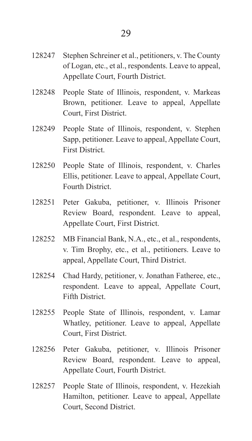- 128247 Stephen Schreiner et al., petitioners, v. The County of Logan, etc., et al., respondents. Leave to appeal, Appellate Court, Fourth District.
- 128248 People State of Illinois, respondent, v. Markeas Brown, petitioner. Leave to appeal, Appellate Court, First District.
- 128249 People State of Illinois, respondent, v. Stephen Sapp, petitioner. Leave to appeal, Appellate Court, First District.
- 128250 People State of Illinois, respondent, v. Charles Ellis, petitioner. Leave to appeal, Appellate Court, Fourth District.
- 128251 Peter Gakuba, petitioner, v. Illinois Prisoner Review Board, respondent. Leave to appeal, Appellate Court, First District.
- 128252 MB Financial Bank, N.A., etc., et al., respondents, v. Tim Brophy, etc., et al., petitioners. Leave to appeal, Appellate Court, Third District.
- 128254 Chad Hardy, petitioner, v. Jonathan Fatheree, etc., respondent. Leave to appeal, Appellate Court, Fifth District.
- 128255 People State of Illinois, respondent, v. Lamar Whatley, petitioner. Leave to appeal, Appellate Court, First District.
- 128256 Peter Gakuba, petitioner, v. Illinois Prisoner Review Board, respondent. Leave to appeal, Appellate Court, Fourth District.
- 128257 People State of Illinois, respondent, v. Hezekiah Hamilton, petitioner. Leave to appeal, Appellate Court, Second District.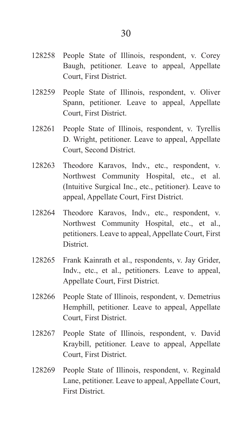- 128258 People State of Illinois, respondent, v. Corey Baugh, petitioner. Leave to appeal, Appellate Court, First District.
- 128259 People State of Illinois, respondent, v. Oliver Spann, petitioner. Leave to appeal, Appellate Court, First District.
- 128261 People State of Illinois, respondent, v. Tyrellis D. Wright, petitioner. Leave to appeal, Appellate Court, Second District.
- 128263 Theodore Karavos, Indv., etc., respondent, v. Northwest Community Hospital, etc., et al. (Intuitive Surgical Inc., etc., petitioner). Leave to appeal, Appellate Court, First District.
- 128264 Theodore Karavos, Indv., etc., respondent, v. Northwest Community Hospital, etc., et al., petitioners. Leave to appeal, Appellate Court, First District.
- 128265 Frank Kainrath et al., respondents, v. Jay Grider, Indv., etc., et al., petitioners. Leave to appeal, Appellate Court, First District.
- 128266 People State of Illinois, respondent, v. Demetrius Hemphill, petitioner. Leave to appeal, Appellate Court, First District.
- 128267 People State of Illinois, respondent, v. David Kraybill, petitioner. Leave to appeal, Appellate Court, First District.
- 128269 People State of Illinois, respondent, v. Reginald Lane, petitioner. Leave to appeal, Appellate Court, First District.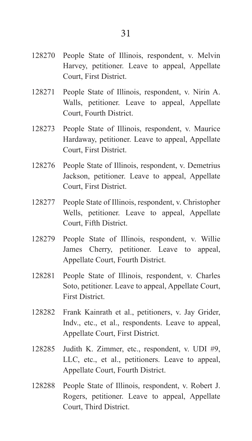- 128270 People State of Illinois, respondent, v. Melvin Harvey, petitioner. Leave to appeal, Appellate Court, First District.
- 128271 People State of Illinois, respondent, v. Nirin A. Walls, petitioner. Leave to appeal, Appellate Court, Fourth District.
- 128273 People State of Illinois, respondent, v. Maurice Hardaway, petitioner. Leave to appeal, Appellate Court, First District.
- 128276 People State of Illinois, respondent, v. Demetrius Jackson, petitioner. Leave to appeal, Appellate Court, First District.
- 128277 People State of Illinois, respondent, v. Christopher Wells, petitioner. Leave to appeal, Appellate Court, Fifth District.
- 128279 People State of Illinois, respondent, v. Willie James Cherry, petitioner. Leave to appeal, Appellate Court, Fourth District.
- 128281 People State of Illinois, respondent, v. Charles Soto, petitioner. Leave to appeal, Appellate Court, First District.
- 128282 Frank Kainrath et al., petitioners, v. Jay Grider, Indv., etc., et al., respondents. Leave to appeal, Appellate Court, First District.
- 128285 Judith K. Zimmer, etc., respondent, v. UDI #9, LLC, etc., et al., petitioners. Leave to appeal, Appellate Court, Fourth District.
- 128288 People State of Illinois, respondent, v. Robert J. Rogers, petitioner. Leave to appeal, Appellate Court, Third District.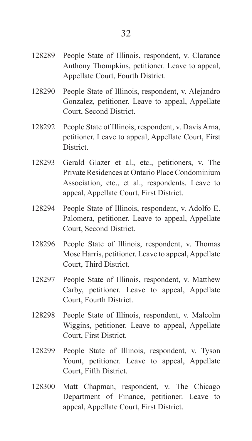- 128290 People State of Illinois, respondent, v. Alejandro Gonzalez, petitioner. Leave to appeal, Appellate Court, Second District.
- 128292 People State of Illinois, respondent, v. Davis Arna, petitioner. Leave to appeal, Appellate Court, First District.
- 128293 Gerald Glazer et al., etc., petitioners, v. The Private Residences at Ontario Place Condominium Association, etc., et al., respondents. Leave to appeal, Appellate Court, First District.
- 128294 People State of Illinois, respondent, v. Adolfo E. Palomera, petitioner. Leave to appeal, Appellate Court, Second District.
- 128296 People State of Illinois, respondent, v. Thomas Mose Harris, petitioner. Leave to appeal, Appellate Court, Third District.
- 128297 People State of Illinois, respondent, v. Matthew Carby, petitioner. Leave to appeal, Appellate Court, Fourth District.
- 128298 People State of Illinois, respondent, v. Malcolm Wiggins, petitioner. Leave to appeal, Appellate Court, First District.
- 128299 People State of Illinois, respondent, v. Tyson Yount, petitioner. Leave to appeal, Appellate Court, Fifth District.
- 128300 Matt Chapman, respondent, v. The Chicago Department of Finance, petitioner. Leave to appeal, Appellate Court, First District.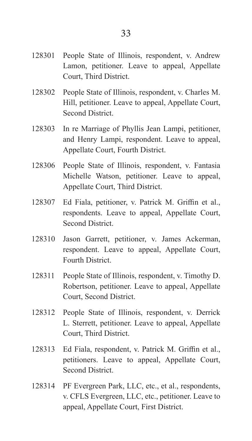- 128302 People State of Illinois, respondent, v. Charles M. Hill, petitioner. Leave to appeal, Appellate Court, Second District.
- 128303 In re Marriage of Phyllis Jean Lampi, petitioner, and Henry Lampi, respondent. Leave to appeal, Appellate Court, Fourth District.
- 128306 People State of Illinois, respondent, v. Fantasia Michelle Watson, petitioner. Leave to appeal, Appellate Court, Third District.
- 128307 Ed Fiala, petitioner, v. Patrick M. Griffin et al., respondents. Leave to appeal, Appellate Court, Second District.
- 128310 Jason Garrett, petitioner, v. James Ackerman, respondent. Leave to appeal, Appellate Court, Fourth District.
- 128311 People State of Illinois, respondent, v. Timothy D. Robertson, petitioner. Leave to appeal, Appellate Court, Second District.
- 128312 People State of Illinois, respondent, v. Derrick L. Sterrett, petitioner. Leave to appeal, Appellate Court, Third District.
- 128313 Ed Fiala, respondent, v. Patrick M. Griffin et al., petitioners. Leave to appeal, Appellate Court, Second District.
- 128314 PF Evergreen Park, LLC, etc., et al., respondents, v. CFLS Evergreen, LLC, etc., petitioner. Leave to appeal, Appellate Court, First District.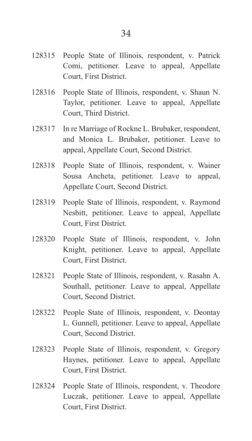- 128316 People State of Illinois, respondent, v. Shaun N. Taylor, petitioner. Leave to appeal, Appellate Court, Third District.
- 128317 In re Marriage of Rockne L. Brubaker, respondent, and Monica L. Brubaker, petitioner. Leave to appeal, Appellate Court, Second District.
- 128318 People State of Illinois, respondent, v. Wainer Sousa Ancheta, petitioner. Leave to appeal, Appellate Court, Second District.
- 128319 People State of Illinois, respondent, v. Raymond Nesbitt, petitioner. Leave to appeal, Appellate Court, First District.
- 128320 People State of Illinois, respondent, v. John Knight, petitioner. Leave to appeal, Appellate Court, First District.
- 128321 People State of Illinois, respondent, v. Rasahn A. Southall, petitioner. Leave to appeal, Appellate Court, Second District.
- 128322 People State of Illinois, respondent, v. Deontay L. Gunnell, petitioner. Leave to appeal, Appellate Court, Second District.
- 128323 People State of Illinois, respondent, v. Gregory Haynes, petitioner. Leave to appeal, Appellate Court, First District.
- 128324 People State of Illinois, respondent, v. Theodore Luczak, petitioner. Leave to appeal, Appellate Court, First District.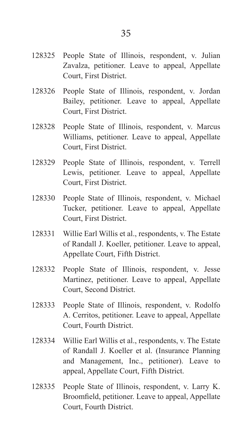- 128325 People State of Illinois, respondent, v. Julian Zavalza, petitioner. Leave to appeal, Appellate Court, First District.
- 128326 People State of Illinois, respondent, v. Jordan Bailey, petitioner. Leave to appeal, Appellate Court, First District.
- 128328 People State of Illinois, respondent, v. Marcus Williams, petitioner. Leave to appeal, Appellate Court, First District.
- 128329 People State of Illinois, respondent, v. Terrell Lewis, petitioner. Leave to appeal, Appellate Court, First District.
- 128330 People State of Illinois, respondent, v. Michael Tucker, petitioner. Leave to appeal, Appellate Court, First District.
- 128331 Willie Earl Willis et al., respondents, v. The Estate of Randall J. Koeller, petitioner. Leave to appeal, Appellate Court, Fifth District.
- 128332 People State of Illinois, respondent, v. Jesse Martinez, petitioner. Leave to appeal, Appellate Court, Second District.
- 128333 People State of Illinois, respondent, v. Rodolfo A. Cerritos, petitioner. Leave to appeal, Appellate Court, Fourth District.
- 128334 Willie Earl Willis et al., respondents, v. The Estate of Randall J. Koeller et al. (Insurance Planning and Management, Inc., petitioner). Leave to appeal, Appellate Court, Fifth District.
- 128335 People State of Illinois, respondent, v. Larry K. Broomfield, petitioner. Leave to appeal, Appellate Court, Fourth District.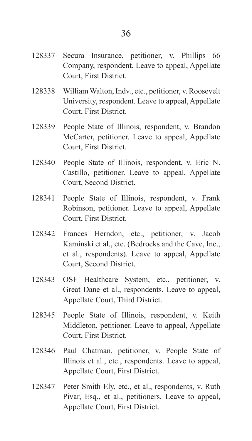- 128337 Secura Insurance, petitioner, v. Phillips 66 Company, respondent. Leave to appeal, Appellate Court, First District.
- 128338 William Walton, Indv., etc., petitioner, v. Roosevelt University, respondent. Leave to appeal, Appellate Court, First District.
- 128339 People State of Illinois, respondent, v. Brandon McCarter, petitioner. Leave to appeal, Appellate Court, First District.
- 128340 People State of Illinois, respondent, v. Eric N. Castillo, petitioner. Leave to appeal, Appellate Court, Second District.
- 128341 People State of Illinois, respondent, v. Frank Robinson, petitioner. Leave to appeal, Appellate Court, First District.
- 128342 Frances Herndon, etc., petitioner, v. Jacob Kaminski et al., etc. (Bedrocks and the Cave, Inc., et al., respondents). Leave to appeal, Appellate Court, Second District.
- 128343 OSF Healthcare System, etc., petitioner, v. Great Dane et al., respondents. Leave to appeal, Appellate Court, Third District.
- 128345 People State of Illinois, respondent, v. Keith Middleton, petitioner. Leave to appeal, Appellate Court, First District.
- 128346 Paul Chatman, petitioner, v. People State of Illinois et al., etc., respondents. Leave to appeal, Appellate Court, First District.
- 128347 Peter Smith Ely, etc., et al., respondents, v. Ruth Pivar, Esq., et al., petitioners. Leave to appeal, Appellate Court, First District.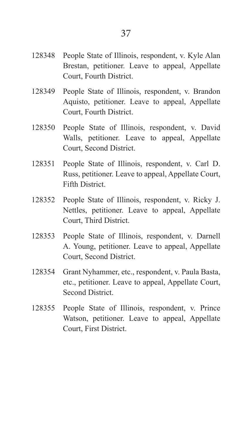- 128349 People State of Illinois, respondent, v. Brandon Aquisto, petitioner. Leave to appeal, Appellate Court, Fourth District.
- 128350 People State of Illinois, respondent, v. David Walls, petitioner. Leave to appeal, Appellate Court, Second District.
- 128351 People State of Illinois, respondent, v. Carl D. Russ, petitioner. Leave to appeal, Appellate Court, Fifth District.
- 128352 People State of Illinois, respondent, v. Ricky J. Nettles, petitioner. Leave to appeal, Appellate Court, Third District.
- 128353 People State of Illinois, respondent, v. Darnell A. Young, petitioner. Leave to appeal, Appellate Court, Second District.
- 128354 Grant Nyhammer, etc., respondent, v. Paula Basta, etc., petitioner. Leave to appeal, Appellate Court, Second District.
- 128355 People State of Illinois, respondent, v. Prince Watson, petitioner. Leave to appeal, Appellate Court, First District.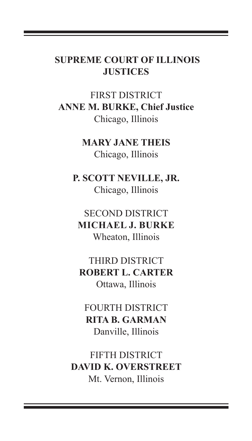# **SUPREME COURT OF ILLINOIS JUSTICES**

FIRST DISTRICT **ANNE M. BURKE, Chief Justice** Chicago, Illinois

> **MARY JANE THEIS** Chicago, Illinois

**P. SCOTT NEVILLE, JR.** Chicago, Illinois

SECOND DISTRICT **MICHAEL J. BURKE** Wheaton, Illinois

THIRD DISTRICT **ROBERT L. CARTER** Ottawa, Illinois

FOURTH DISTRICT **RITA B. GARMAN** Danville, Illinois

FIFTH DISTRICT **DAVID K. OVERSTREET** Mt. Vernon, Illinois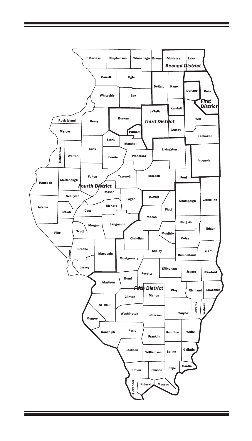